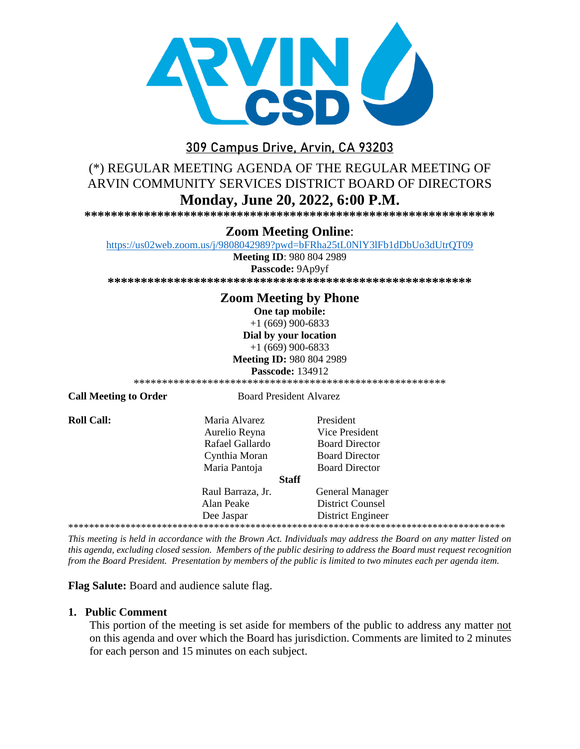

# 309 Campus Drive, Arvin, CA 93203

# (\*) REGULAR MEETING AGENDA OF THE REGULAR MEETING OF ARVIN COMMUNITY SERVICES DISTRICT BOARD OF DIRECTORS Monday, June 20, 2022, 6:00 P.M.

### **Zoom Meeting Online:**

https://us02web.zoom.us/j/9808042989?pwd=bFRha25tL0NlY3lFb1dDbUo3dUtrQT09

**Meeting ID: 980 804 2989** 

Passcode: 9Ap9yf 

## **Zoom Meeting by Phone**

One tap mobile:

 $+1(669)900-6833$ Dial by your location  $+1(669)900-6833$ 

**Meeting ID: 980 804 2989** 

**Passcode: 134912** 

**Call Meeting to Order** 

**Board President Alvarez** 

**Roll Call:** 

Maria Alvarez Aurelio Reyna Rafael Gallardo Cynthia Moran Maria Pantoja

President Vice President **Board Director Board Director Board Director** 

#### **Staff**

Raul Barraza, Jr. **General Manager** Alan Peake **District Counsel** Dee Jaspar **District Engineer** 

This meeting is held in accordance with the Brown Act. Individuals may address the Board on any matter listed on this agenda, excluding closed session. Members of the public desiring to address the Board must request recognition from the Board President. Presentation by members of the public is limited to two minutes each per agenda item.

Flag Salute: Board and audience salute flag.

### 1. Public Comment

This portion of the meeting is set aside for members of the public to address any matter not on this agenda and over which the Board has jurisdiction. Comments are limited to 2 minutes for each person and 15 minutes on each subject.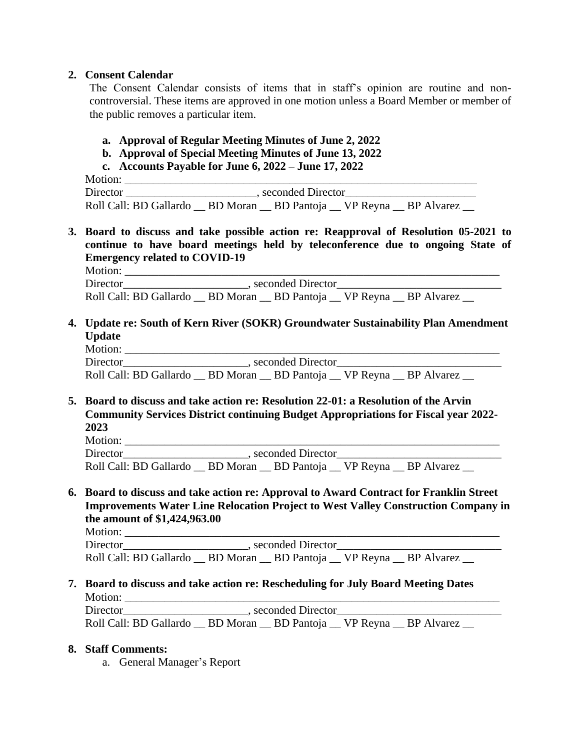### **2. Consent Calendar**

The Consent Calendar consists of items that in staff's opinion are routine and noncontroversial. These items are approved in one motion unless a Board Member or member of the public removes a particular item.

- **a. Approval of Regular Meeting Minutes of June 2, 2022**
- **b. Approval of Special Meeting Minutes of June 13, 2022**
- **c. Accounts Payable for June 6, 2022 – June 17, 2022**

 Motion: \_\_\_\_\_\_\_\_\_\_\_\_\_\_\_\_\_\_\_\_\_\_\_\_\_\_\_\_\_\_\_\_\_\_\_\_\_\_\_\_\_\_\_\_\_\_\_\_\_\_\_\_\_\_\_\_\_\_\_\_\_\_ Director \_\_\_\_\_\_\_\_\_\_\_\_\_\_\_\_\_\_\_\_\_\_\_, seconded Director\_\_\_\_\_\_\_\_\_\_\_\_\_\_\_\_\_\_\_\_\_\_\_ Roll Call: BD Gallardo \_\_ BD Moran \_\_ BD Pantoja \_\_ VP Reyna \_\_ BP Alvarez \_\_

**3. Board to discuss and take possible action re: Reapproval of Resolution 05-2021 to continue to have board meetings held by teleconference due to ongoing State of Emergency related to COVID-19**

Motion: \_\_\_\_\_\_\_\_\_\_\_\_\_\_\_\_\_\_\_\_\_\_\_\_\_\_\_\_\_\_\_\_\_\_\_\_\_\_\_\_\_\_\_\_\_\_\_\_\_\_\_\_\_\_\_\_\_\_\_\_\_\_\_\_\_\_

Director\_\_\_\_\_\_\_\_\_\_\_\_\_\_\_\_\_\_\_\_\_\_, seconded Director\_\_\_\_\_\_\_\_\_\_\_\_\_\_\_\_\_\_\_\_\_\_\_\_\_\_\_\_\_ Roll Call: BD Gallardo \_\_ BD Moran \_\_ BD Pantoja \_\_ VP Reyna \_\_ BP Alvarez

**4. Update re: South of Kern River (SOKR) Groundwater Sustainability Plan Amendment Update**

Motion: \_\_\_\_\_\_\_\_\_\_\_\_\_\_\_\_\_\_\_\_\_\_\_\_\_\_\_\_\_\_\_\_\_\_\_\_\_\_\_\_\_\_\_\_\_\_\_\_\_\_\_\_\_\_\_\_\_\_\_\_\_\_\_\_\_\_ Director\_\_\_\_\_\_\_\_\_\_\_\_\_\_\_\_\_\_\_\_\_\_, seconded Director\_\_\_\_\_\_\_\_\_\_\_\_\_\_\_\_\_\_\_\_\_\_\_\_\_\_\_\_\_ Roll Call: BD Gallardo \_\_ BD Moran \_\_ BD Pantoja \_\_ VP Reyna \_\_ BP Alvarez

**5. Board to discuss and take action re: Resolution 22-01: a Resolution of the Arvin Community Services District continuing Budget Appropriations for Fiscal year 2022- 2023**

Motion: \_\_\_\_\_\_\_\_\_\_\_\_\_\_\_\_\_\_\_\_\_\_\_\_\_\_\_\_\_\_\_\_\_\_\_\_\_\_\_\_\_\_\_\_\_\_\_\_\_\_\_\_\_\_\_\_\_\_\_\_\_\_\_\_\_\_ Director\_\_\_\_\_\_\_\_\_\_\_\_\_\_\_\_\_\_\_\_\_\_, seconded Director\_\_\_\_\_\_\_\_\_\_\_\_\_\_\_\_\_\_\_\_\_\_\_\_\_\_\_\_\_ Roll Call: BD Gallardo \_\_ BD Moran \_\_ BD Pantoja \_\_ VP Reyna \_\_ BP Alvarez \_\_

**6. Board to discuss and take action re: Approval to Award Contract for Franklin Street Improvements Water Line Relocation Project to West Valley Construction Company in the amount of \$1,424,963.00**

Motion: \_\_\_\_\_\_\_\_\_\_\_\_\_\_\_\_\_\_\_\_\_\_\_\_\_\_\_\_\_\_\_\_\_\_\_\_\_\_\_\_\_\_\_\_\_\_\_\_\_\_\_\_\_\_\_\_\_\_\_\_\_\_\_\_\_\_ Director example and seconded Director Roll Call: BD Gallardo \_\_ BD Moran \_\_ BD Pantoja \_\_ VP Reyna \_\_ BP Alvarez

**7. Board to discuss and take action re: Rescheduling for July Board Meeting Dates** Motion: \_\_\_\_\_\_\_\_\_\_\_\_\_\_\_\_\_\_\_\_\_\_\_\_\_\_\_\_\_\_\_\_\_\_\_\_\_\_\_\_\_\_\_\_\_\_\_\_\_\_\_\_\_\_\_\_\_\_\_\_\_\_\_\_\_\_

Director\_\_\_\_\_\_\_\_\_\_\_\_\_\_\_\_\_\_\_\_\_\_, seconded Director\_\_\_\_\_\_\_\_\_\_\_\_\_\_\_\_\_\_\_\_\_\_\_\_\_\_\_\_\_ Roll Call: BD Gallardo \_\_ BD Moran \_\_ BD Pantoja \_\_ VP Reyna \_\_ BP Alvarez \_\_

#### **8. Staff Comments:**

a. General Manager's Report